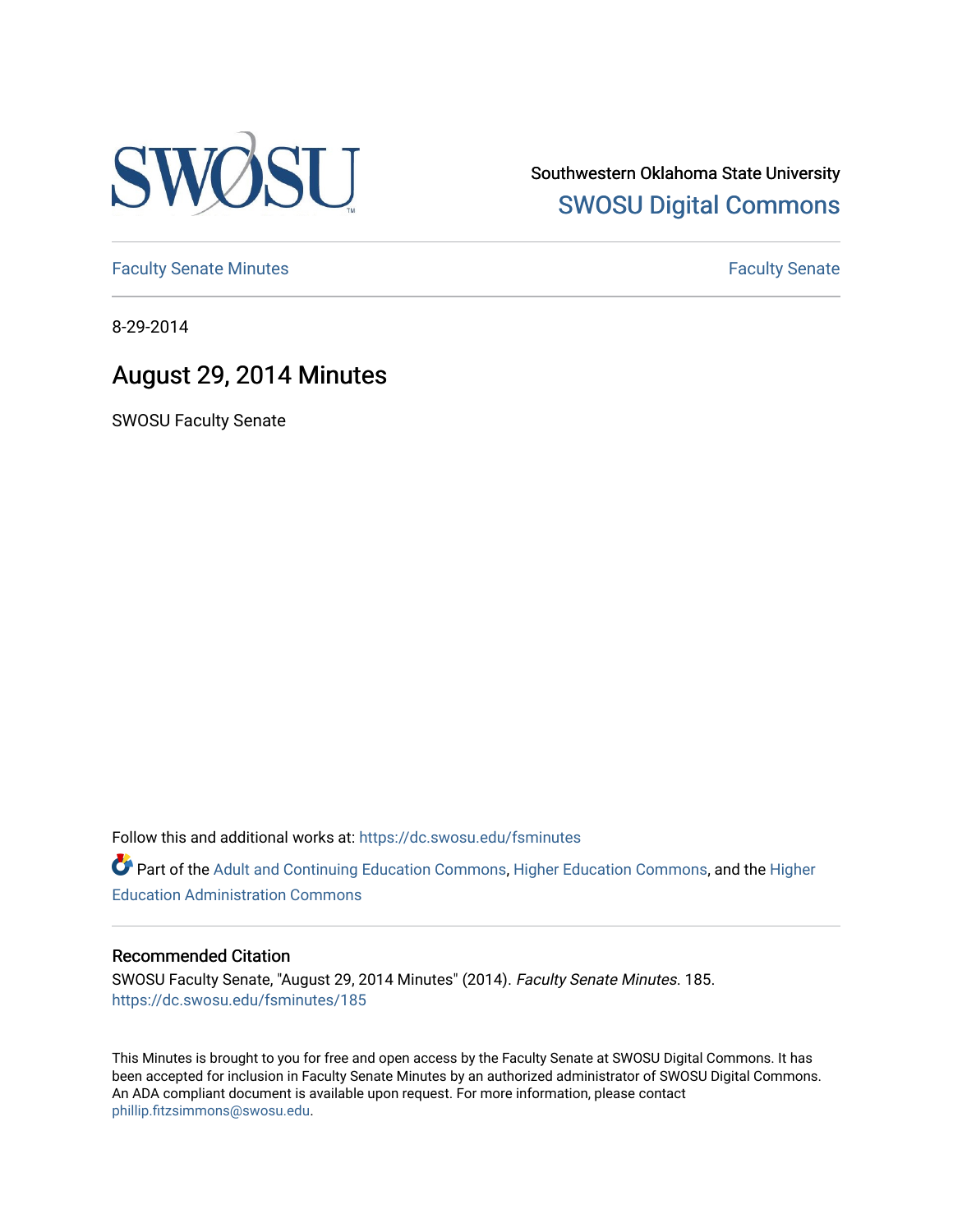

Southwestern Oklahoma State University [SWOSU Digital Commons](https://dc.swosu.edu/) 

[Faculty Senate Minutes](https://dc.swosu.edu/fsminutes) **Faculty** Senate Minutes

8-29-2014

## August 29, 2014 Minutes

SWOSU Faculty Senate

Follow this and additional works at: [https://dc.swosu.edu/fsminutes](https://dc.swosu.edu/fsminutes?utm_source=dc.swosu.edu%2Ffsminutes%2F185&utm_medium=PDF&utm_campaign=PDFCoverPages) 

Part of the [Adult and Continuing Education Commons,](http://network.bepress.com/hgg/discipline/1375?utm_source=dc.swosu.edu%2Ffsminutes%2F185&utm_medium=PDF&utm_campaign=PDFCoverPages) [Higher Education Commons,](http://network.bepress.com/hgg/discipline/1245?utm_source=dc.swosu.edu%2Ffsminutes%2F185&utm_medium=PDF&utm_campaign=PDFCoverPages) and the [Higher](http://network.bepress.com/hgg/discipline/791?utm_source=dc.swosu.edu%2Ffsminutes%2F185&utm_medium=PDF&utm_campaign=PDFCoverPages) [Education Administration Commons](http://network.bepress.com/hgg/discipline/791?utm_source=dc.swosu.edu%2Ffsminutes%2F185&utm_medium=PDF&utm_campaign=PDFCoverPages) 

### Recommended Citation

SWOSU Faculty Senate, "August 29, 2014 Minutes" (2014). Faculty Senate Minutes. 185. [https://dc.swosu.edu/fsminutes/185](https://dc.swosu.edu/fsminutes/185?utm_source=dc.swosu.edu%2Ffsminutes%2F185&utm_medium=PDF&utm_campaign=PDFCoverPages) 

This Minutes is brought to you for free and open access by the Faculty Senate at SWOSU Digital Commons. It has been accepted for inclusion in Faculty Senate Minutes by an authorized administrator of SWOSU Digital Commons. An ADA compliant document is available upon request. For more information, please contact [phillip.fitzsimmons@swosu.edu](mailto:phillip.fitzsimmons@swosu.edu).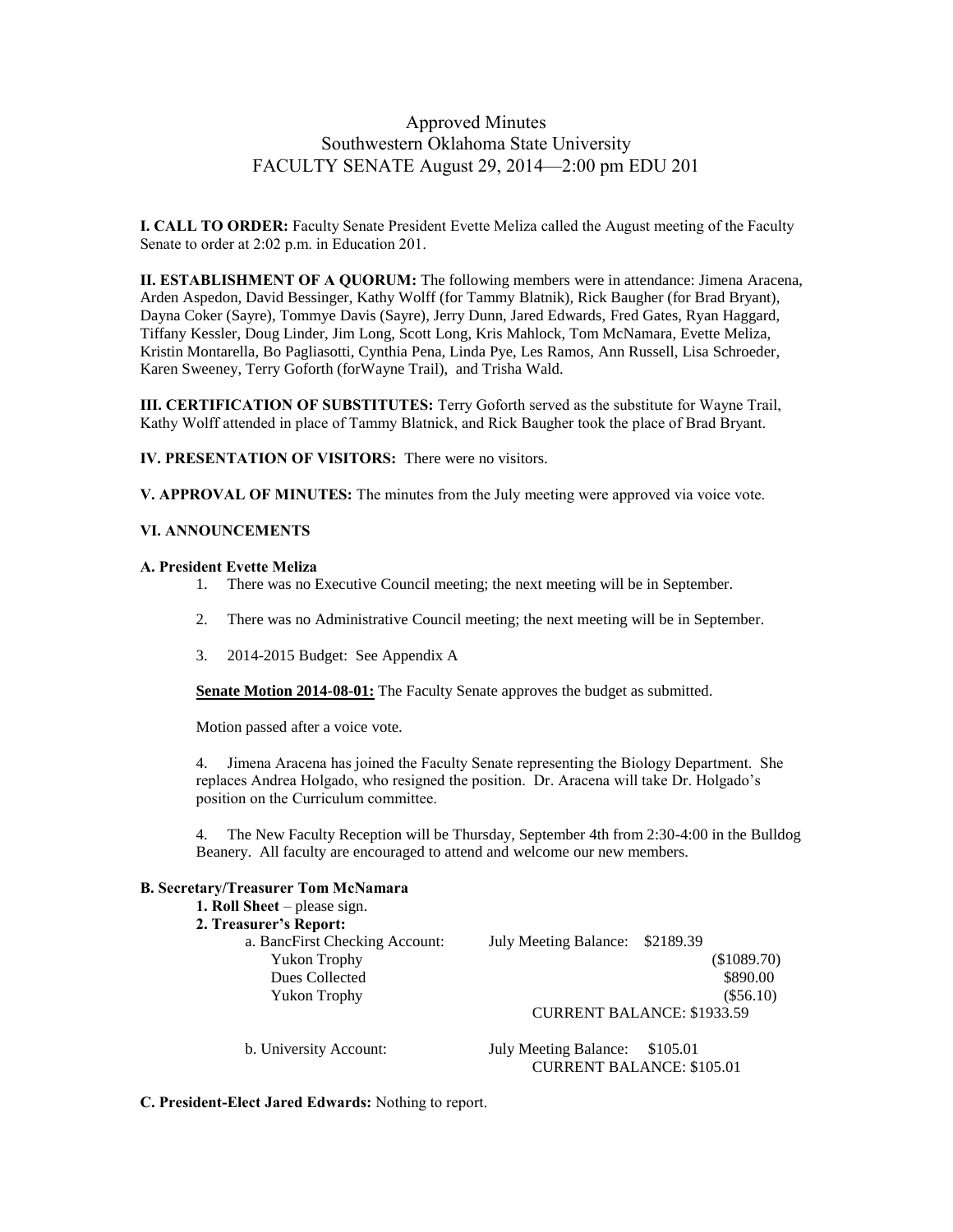## Approved Minutes Southwestern Oklahoma State University FACULTY SENATE August 29, 2014—2:00 pm EDU 201

**I. CALL TO ORDER:** Faculty Senate President Evette Meliza called the August meeting of the Faculty Senate to order at 2:02 p.m. in Education 201.

**II. ESTABLISHMENT OF A QUORUM:** The following members were in attendance: Jimena Aracena, Arden Aspedon, David Bessinger, Kathy Wolff (for Tammy Blatnik), Rick Baugher (for Brad Bryant), Dayna Coker (Sayre), Tommye Davis (Sayre), Jerry Dunn, Jared Edwards, Fred Gates, Ryan Haggard, Tiffany Kessler, Doug Linder, Jim Long, Scott Long, Kris Mahlock, Tom McNamara, Evette Meliza, Kristin Montarella, Bo Pagliasotti, Cynthia Pena, Linda Pye, Les Ramos, Ann Russell, Lisa Schroeder, Karen Sweeney, Terry Goforth (forWayne Trail), and Trisha Wald.

**III. CERTIFICATION OF SUBSTITUTES:** Terry Goforth served as the substitute for Wayne Trail, Kathy Wolff attended in place of Tammy Blatnick, and Rick Baugher took the place of Brad Bryant.

**IV. PRESENTATION OF VISITORS:** There were no visitors.

**V. APPROVAL OF MINUTES:** The minutes from the July meeting were approved via voice vote.

#### **VI. ANNOUNCEMENTS**

#### **A. President Evette Meliza**

- 1. There was no Executive Council meeting; the next meeting will be in September.
- 2. There was no Administrative Council meeting; the next meeting will be in September.
- 3. 2014-2015 Budget: See Appendix A

**Senate Motion 2014-08-01:** The Faculty Senate approves the budget as submitted.

Motion passed after a voice vote.

4. Jimena Aracena has joined the Faculty Senate representing the Biology Department. She replaces Andrea Holgado, who resigned the position. Dr. Aracena will take Dr. Holgado's position on the Curriculum committee.

4. The New Faculty Reception will be Thursday, September 4th from 2:30-4:00 in the Bulldog Beanery. All faculty are encouraged to attend and welcome our new members.

### **B. Secretary/Treasurer Tom McNamara**

| 1. Roll Sheet $-$ please sign. |                                          |  |
|--------------------------------|------------------------------------------|--|
| 2. Treasurer's Report:         |                                          |  |
| a. BancFirst Checking Account: | July Meeting Balance: \$2189.39          |  |
| <b>Yukon Trophy</b>            | (\$1089.70)                              |  |
| Dues Collected                 | \$890.00                                 |  |
| <b>Yukon Trophy</b>            | $(\$56.10)$                              |  |
|                                | <b>CURRENT BALANCE: \$1933.59</b>        |  |
| b. University Account:         | <b>July Meeting Balance:</b><br>\$105.01 |  |
|                                | <b>CURRENT BALANCE: \$105.01</b>         |  |

**C. President-Elect Jared Edwards:** Nothing to report.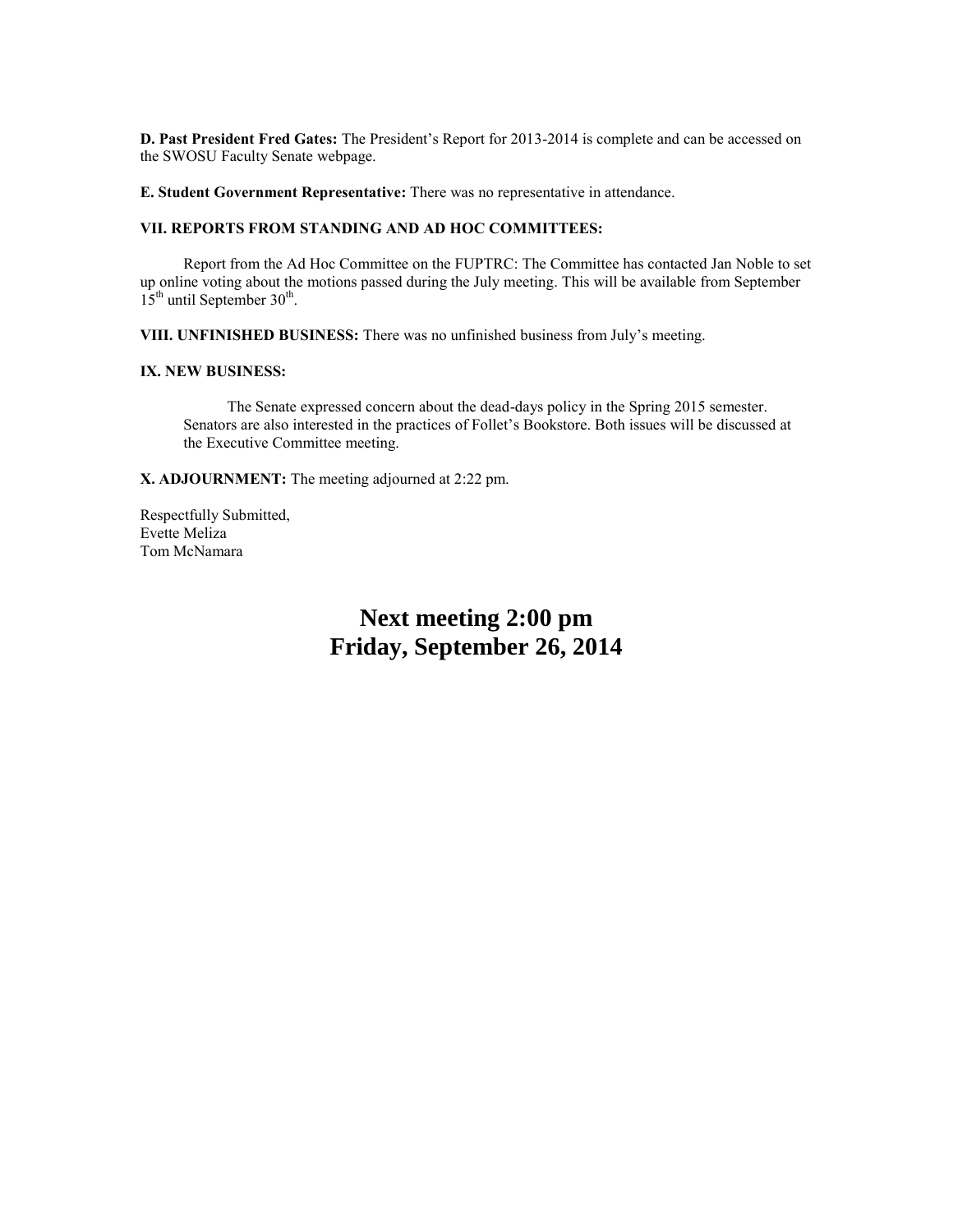**D. Past President Fred Gates:** The President's Report for 2013-2014 is complete and can be accessed on the SWOSU Faculty Senate webpage.

**E. Student Government Representative:** There was no representative in attendance.

### **VII. REPORTS FROM STANDING AND AD HOC COMMITTEES:**

Report from the Ad Hoc Committee on the FUPTRC: The Committee has contacted Jan Noble to set up online voting about the motions passed during the July meeting. This will be available from September  $15<sup>th</sup>$  until September 30<sup>th</sup>.

**VIII. UNFINISHED BUSINESS:** There was no unfinished business from July's meeting.

#### **IX. NEW BUSINESS:**

The Senate expressed concern about the dead-days policy in the Spring 2015 semester. Senators are also interested in the practices of Follet's Bookstore. Both issues will be discussed at the Executive Committee meeting.

**X. ADJOURNMENT:** The meeting adjourned at 2:22 pm.

Respectfully Submitted, Evette Meliza Tom McNamara

# **Next meeting 2:00 pm Friday, September 26, 2014**